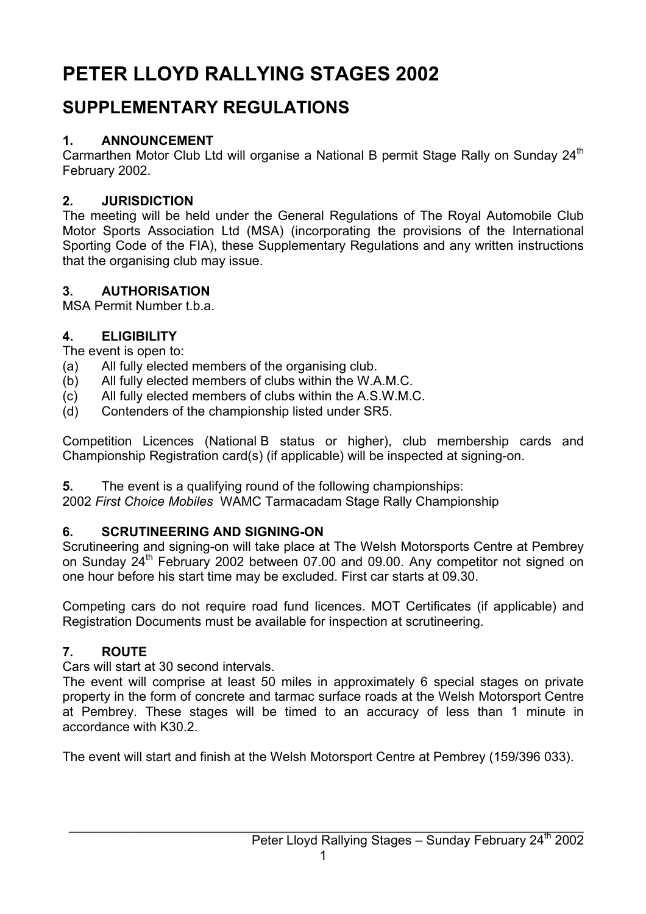# **PETER LLOYD RALLYING STAGES 2002**

## **SUPPLEMENTARY REGULATIONS**

## **1. ANNOUNCEMENT**

Carmarthen Motor Club Ltd will organise a National B permit Stage Rally on Sunday 24<sup>th</sup> February 2002.

## **2. JURISDICTION**

The meeting will be held under the General Regulations of The Royal Automobile Club Motor Sports Association Ltd (MSA) (incorporating the provisions of the International Sporting Code of the FIA), these Supplementary Regulations and any written instructions that the organising club may issue.

## **3. AUTHORISATION**

MSA Permit Number t.b.a.

## **4. ELIGIBILITY**

The event is open to:

- (a) All fully elected members of the organising club.
- (b) All fully elected members of clubs within the W.A.M.C.
- (c) All fully elected members of clubs within the A.S.W.M.C.
- (d) Contenders of the championship listed under SR5.

Competition Licences (National B status or higher), club membership cards and Championship Registration card(s) (if applicable) will be inspected at signing-on.

**5.** The event is a qualifying round of the following championships:

2002 *First Choice Mobiles* WAMC Tarmacadam Stage Rally Championship

### **6. SCRUTINEERING AND SIGNING-ON**

Scrutineering and signing-on will take place at The Welsh Motorsports Centre at Pembrey on Sunday 24<sup>th</sup> February 2002 between 07.00 and 09.00. Any competitor not signed on one hour before his start time may be excluded. First car starts at 09.30.

Competing cars do not require road fund licences. MOT Certificates (if applicable) and Registration Documents must be available for inspection at scrutineering.

## **7. ROUTE**

Cars will start at 30 second intervals.

The event will comprise at least 50 miles in approximately 6 special stages on private property in the form of concrete and tarmac surface roads at the Welsh Motorsport Centre at Pembrey. These stages will be timed to an accuracy of less than 1 minute in accordance with K30.2.

The event will start and finish at the Welsh Motorsport Centre at Pembrey (159/396 033).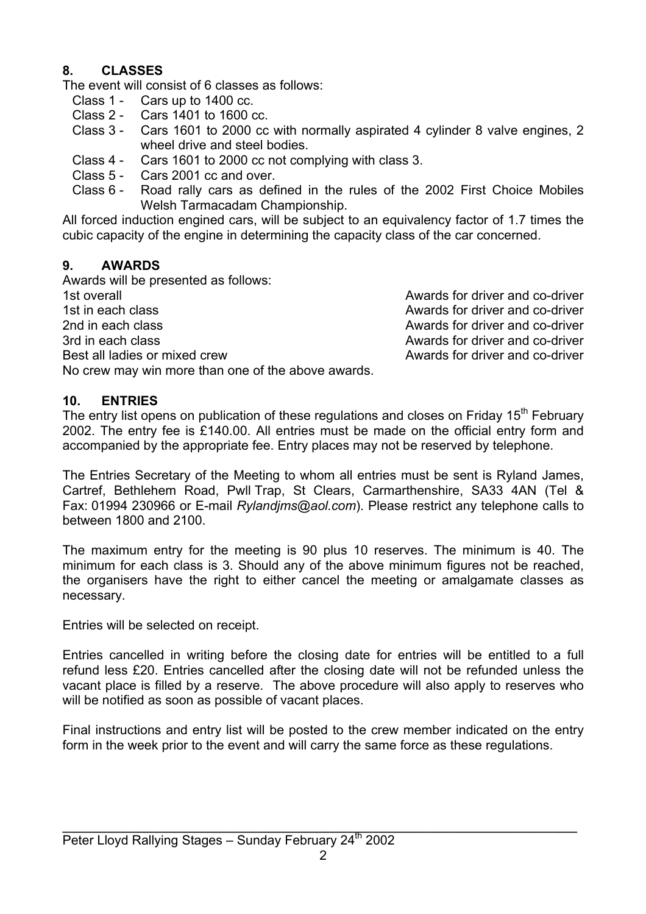#### **8. CLASSES**

The event will consist of 6 classes as follows:

- Class 1 Cars up to 1400 cc.
- Class 2 Cars 1401 to 1600 cc.
- Class 3 Cars 1601 to 2000 cc with normally aspirated 4 cylinder 8 valve engines, 2 wheel drive and steel bodies.
- Class 4 Cars 1601 to 2000 cc not complying with class 3.
- Class 5 Cars 2001 cc and over.
- Class 6 Road rally cars as defined in the rules of the 2002 First Choice Mobiles Welsh Tarmacadam Championship.

All forced induction engined cars, will be subject to an equivalency factor of 1.7 times the cubic capacity of the engine in determining the capacity class of the car concerned.

#### **9. AWARDS**

Awards will be presented as follows: 1st overall Awards for driver and co-driver 1st in each class **Awards** for driver and co-driver 2nd in each class **Awards** for driver and co-driver 3rd in each class **Awards** for driver and co-driver Best all ladies or mixed crew Awards for driver and co-driver No crew may win more than one of the above awards.

**10. ENTRIES**

The entry list opens on publication of these regulations and closes on Friday 15<sup>th</sup> February 2002. The entry fee is £140.00. All entries must be made on the official entry form and accompanied by the appropriate fee. Entry places may not be reserved by telephone.

The Entries Secretary of the Meeting to whom all entries must be sent is Ryland James, Cartref, Bethlehem Road, Pwll Trap, St Clears, Carmarthenshire, SA33 4AN (Tel & Fax: 01994 230966 or E-mail *Rylandjms@aol.com*). Please restrict any telephone calls to between 1800 and 2100.

The maximum entry for the meeting is 90 plus 10 reserves. The minimum is 40. The minimum for each class is 3. Should any of the above minimum figures not be reached, the organisers have the right to either cancel the meeting or amalgamate classes as necessary.

Entries will be selected on receipt.

Entries cancelled in writing before the closing date for entries will be entitled to a full refund less £20. Entries cancelled after the closing date will not be refunded unless the vacant place is filled by a reserve. The above procedure will also apply to reserves who will be notified as soon as possible of vacant places.

Final instructions and entry list will be posted to the crew member indicated on the entry form in the week prior to the event and will carry the same force as these regulations.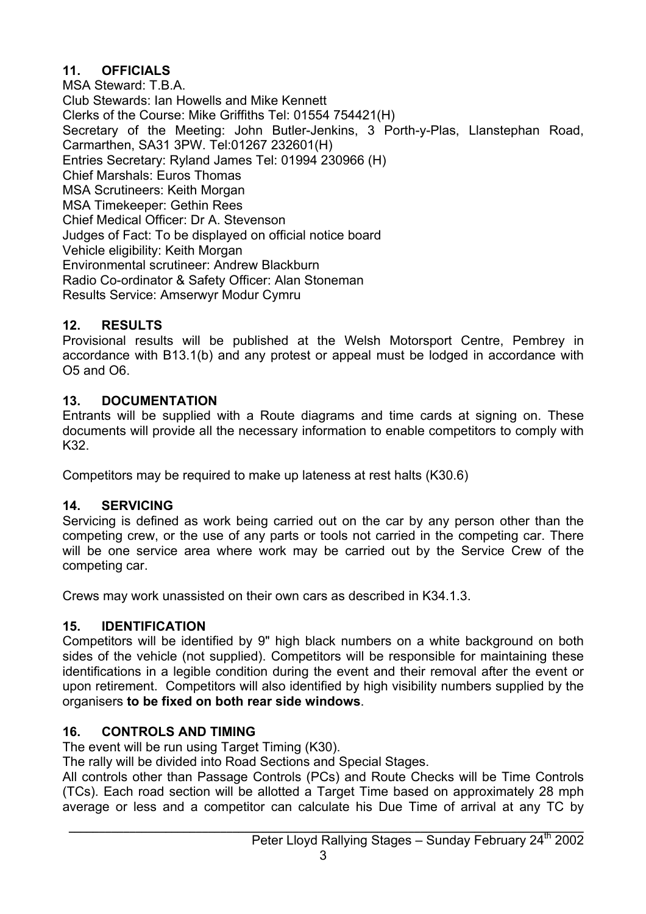#### **11. OFFICIALS**

MSA Steward: T.B.A. Club Stewards: Ian Howells and Mike Kennett Clerks of the Course: Mike Griffiths Tel: 01554 754421(H) Secretary of the Meeting: John Butler-Jenkins, 3 Porth-y-Plas, Llanstephan Road, Carmarthen, SA31 3PW. Tel:01267 232601(H) Entries Secretary: Ryland James Tel: 01994 230966 (H) Chief Marshals: Euros Thomas MSA Scrutineers: Keith Morgan MSA Timekeeper: Gethin Rees Chief Medical Officer: Dr A. Stevenson Judges of Fact: To be displayed on official notice board Vehicle eligibility: Keith Morgan Environmental scrutineer: Andrew Blackburn Radio Co-ordinator & Safety Officer: Alan Stoneman Results Service: Amserwyr Modur Cymru

#### **12. RESULTS**

Provisional results will be published at the Welsh Motorsport Centre, Pembrey in accordance with B13.1(b) and any protest or appeal must be lodged in accordance with O5 and O6.

#### **13. DOCUMENTATION**

Entrants will be supplied with a Route diagrams and time cards at signing on. These documents will provide all the necessary information to enable competitors to comply with K32.

Competitors may be required to make up lateness at rest halts (K30.6)

### **14. SERVICING**

Servicing is defined as work being carried out on the car by any person other than the competing crew, or the use of any parts or tools not carried in the competing car. There will be one service area where work may be carried out by the Service Crew of the competing car.

Crews may work unassisted on their own cars as described in K34.1.3.

### **15. IDENTIFICATION**

Competitors will be identified by 9" high black numbers on a white background on both sides of the vehicle (not supplied). Competitors will be responsible for maintaining these identifications in a legible condition during the event and their removal after the event or upon retirement. Competitors will also identified by high visibility numbers supplied by the organisers **to be fixed on both rear side windows**.

#### **16. CONTROLS AND TIMING**

The event will be run using Target Timing (K30).

The rally will be divided into Road Sections and Special Stages.

All controls other than Passage Controls (PCs) and Route Checks will be Time Controls (TCs). Each road section will be allotted a Target Time based on approximately 28 mph average or less and a competitor can calculate his Due Time of arrival at any TC by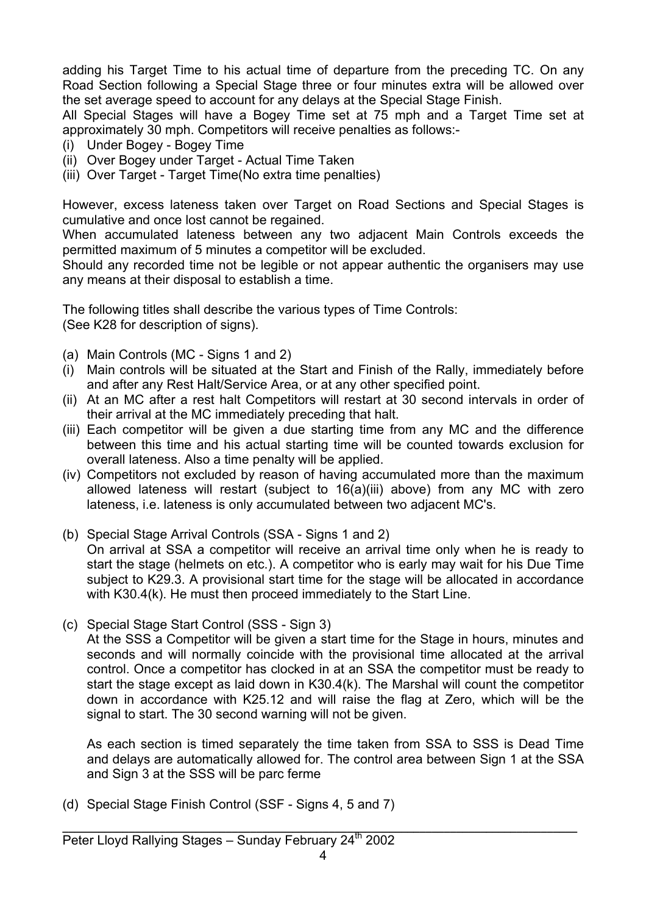adding his Target Time to his actual time of departure from the preceding TC. On any Road Section following a Special Stage three or four minutes extra will be allowed over the set average speed to account for any delays at the Special Stage Finish.

All Special Stages will have a Bogey Time set at 75 mph and a Target Time set at approximately 30 mph. Competitors will receive penalties as follows:-

- (i) Under Bogey Bogey Time
- (ii) Over Bogey under Target Actual Time Taken
- (iii) Over Target Target Time(No extra time penalties)

However, excess lateness taken over Target on Road Sections and Special Stages is cumulative and once lost cannot be regained.

When accumulated lateness between any two adjacent Main Controls exceeds the permitted maximum of 5 minutes a competitor will be excluded.

Should any recorded time not be legible or not appear authentic the organisers may use any means at their disposal to establish a time.

The following titles shall describe the various types of Time Controls: (See K28 for description of signs).

- (a) Main Controls (MC Signs 1 and 2)
- (i) Main controls will be situated at the Start and Finish of the Rally, immediately before and after any Rest Halt/Service Area, or at any other specified point.
- (ii) At an MC after a rest halt Competitors will restart at 30 second intervals in order of their arrival at the MC immediately preceding that halt.
- (iii) Each competitor will be given a due starting time from any MC and the difference between this time and his actual starting time will be counted towards exclusion for overall lateness. Also a time penalty will be applied.
- (iv) Competitors not excluded by reason of having accumulated more than the maximum allowed lateness will restart (subject to 16(a)(iii) above) from any MC with zero lateness, i.e. lateness is only accumulated between two adjacent MC's.
- (b) Special Stage Arrival Controls (SSA Signs 1 and 2) On arrival at SSA a competitor will receive an arrival time only when he is ready to start the stage (helmets on etc.). A competitor who is early may wait for his Due Time subject to K29.3. A provisional start time for the stage will be allocated in accordance with K30.4(k). He must then proceed immediately to the Start Line.
- (c) Special Stage Start Control (SSS Sign 3)

At the SSS a Competitor will be given a start time for the Stage in hours, minutes and seconds and will normally coincide with the provisional time allocated at the arrival control. Once a competitor has clocked in at an SSA the competitor must be ready to start the stage except as laid down in K30.4(k). The Marshal will count the competitor down in accordance with K25.12 and will raise the flag at Zero, which will be the signal to start. The 30 second warning will not be given.

As each section is timed separately the time taken from SSA to SSS is Dead Time and delays are automatically allowed for. The control area between Sign 1 at the SSA and Sign 3 at the SSS will be parc ferme

(d) Special Stage Finish Control (SSF - Signs 4, 5 and 7)

**\_\_\_\_\_\_\_\_\_\_\_\_\_\_\_\_\_\_\_\_\_\_\_\_\_\_\_\_\_\_\_\_\_\_\_\_\_\_\_\_\_\_\_\_\_\_\_\_\_\_\_\_\_\_\_\_\_\_\_\_\_\_\_\_\_\_\_\_\_\_\_\_\_\_\_\_\_\_\_\_\_\_\_\_\_**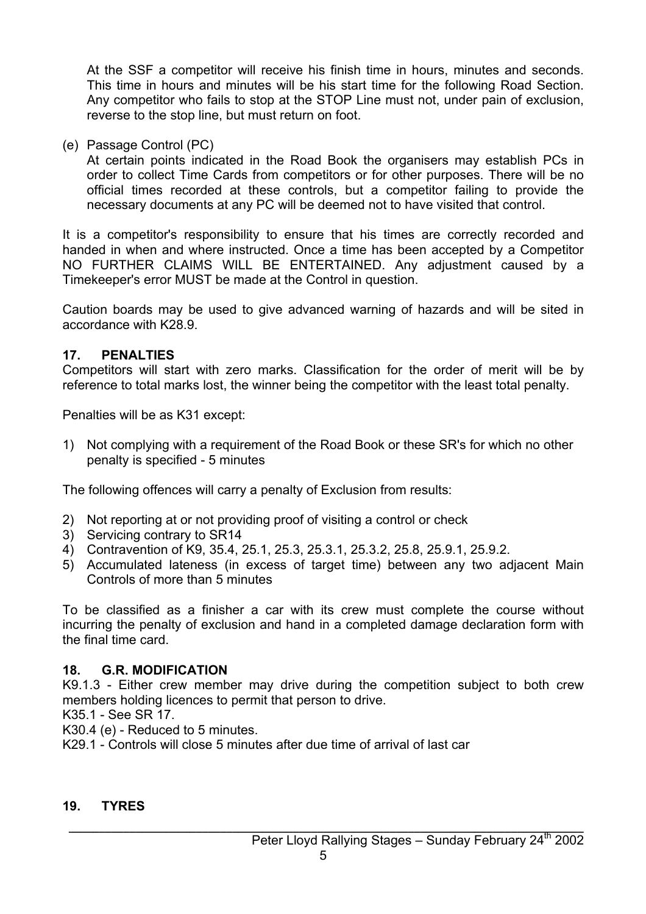At the SSF a competitor will receive his finish time in hours, minutes and seconds. This time in hours and minutes will be his start time for the following Road Section. Any competitor who fails to stop at the STOP Line must not, under pain of exclusion, reverse to the stop line, but must return on foot.

(e) Passage Control (PC)

At certain points indicated in the Road Book the organisers may establish PCs in order to collect Time Cards from competitors or for other purposes. There will be no official times recorded at these controls, but a competitor failing to provide the necessary documents at any PC will be deemed not to have visited that control.

It is a competitor's responsibility to ensure that his times are correctly recorded and handed in when and where instructed. Once a time has been accepted by a Competitor NO FURTHER CLAIMS WILL BE ENTERTAINED. Any adjustment caused by a Timekeeper's error MUST be made at the Control in question.

Caution boards may be used to give advanced warning of hazards and will be sited in accordance with K28.9.

#### **17. PENALTIES**

Competitors will start with zero marks. Classification for the order of merit will be by reference to total marks lost, the winner being the competitor with the least total penalty.

Penalties will be as K31 except:

1) Not complying with a requirement of the Road Book or these SR's for which no other penalty is specified - 5 minutes

The following offences will carry a penalty of Exclusion from results:

- 2) Not reporting at or not providing proof of visiting a control or check
- 3) Servicing contrary to SR14
- 4) Contravention of K9, 35.4, 25.1, 25.3, 25.3.1, 25.3.2, 25.8, 25.9.1, 25.9.2.
- 5) Accumulated lateness (in excess of target time) between any two adjacent Main Controls of more than 5 minutes

To be classified as a finisher a car with its crew must complete the course without incurring the penalty of exclusion and hand in a completed damage declaration form with the final time card.

#### **18. G.R. MODIFICATION**

K9.1.3 - Either crew member may drive during the competition subject to both crew members holding licences to permit that person to drive.

K35.1 - See SR 17.

K30.4 (e) - Reduced to 5 minutes.

K29.1 - Controls will close 5 minutes after due time of arrival of last car

#### **19. TYRES**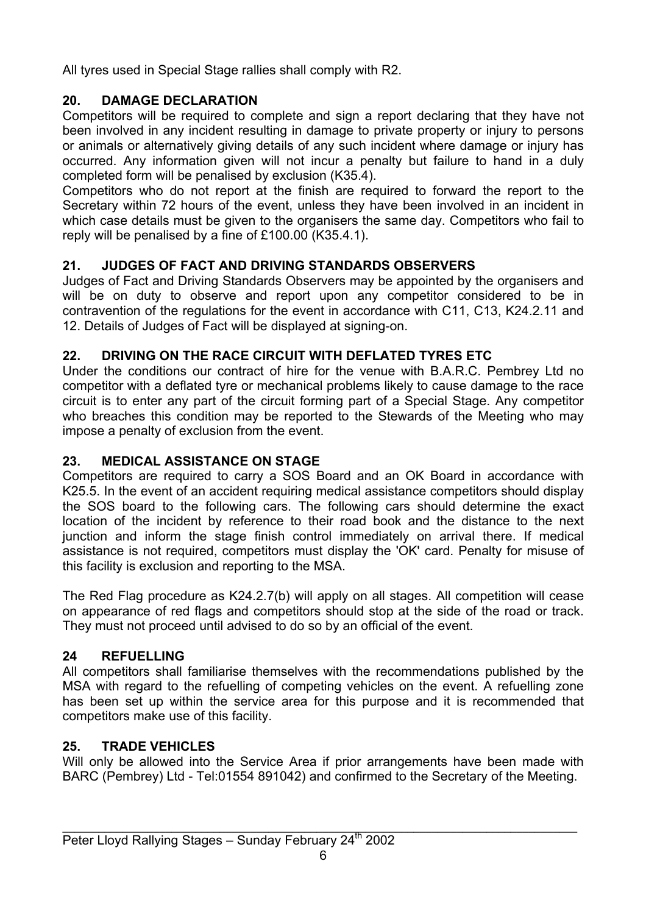All tyres used in Special Stage rallies shall comply with R2.

#### **20. DAMAGE DECLARATION**

Competitors will be required to complete and sign a report declaring that they have not been involved in any incident resulting in damage to private property or injury to persons or animals or alternatively giving details of any such incident where damage or injury has occurred. Any information given will not incur a penalty but failure to hand in a duly completed form will be penalised by exclusion (K35.4).

Competitors who do not report at the finish are required to forward the report to the Secretary within 72 hours of the event, unless they have been involved in an incident in which case details must be given to the organisers the same day. Competitors who fail to reply will be penalised by a fine of £100.00 (K35.4.1).

#### **21. JUDGES OF FACT AND DRIVING STANDARDS OBSERVERS**

Judges of Fact and Driving Standards Observers may be appointed by the organisers and will be on duty to observe and report upon any competitor considered to be in contravention of the regulations for the event in accordance with C11, C13, K24.2.11 and 12. Details of Judges of Fact will be displayed at signing-on.

#### **22. DRIVING ON THE RACE CIRCUIT WITH DEFLATED TYRES ETC**

Under the conditions our contract of hire for the venue with B.A.R.C. Pembrey Ltd no competitor with a deflated tyre or mechanical problems likely to cause damage to the race circuit is to enter any part of the circuit forming part of a Special Stage. Any competitor who breaches this condition may be reported to the Stewards of the Meeting who may impose a penalty of exclusion from the event.

#### **23. MEDICAL ASSISTANCE ON STAGE**

Competitors are required to carry a SOS Board and an OK Board in accordance with K25.5. In the event of an accident requiring medical assistance competitors should display the SOS board to the following cars. The following cars should determine the exact location of the incident by reference to their road book and the distance to the next junction and inform the stage finish control immediately on arrival there. If medical assistance is not required, competitors must display the 'OK' card. Penalty for misuse of this facility is exclusion and reporting to the MSA.

The Red Flag procedure as K24.2.7(b) will apply on all stages. All competition will cease on appearance of red flags and competitors should stop at the side of the road or track. They must not proceed until advised to do so by an official of the event.

#### **24 REFUELLING**

All competitors shall familiarise themselves with the recommendations published by the MSA with regard to the refuelling of competing vehicles on the event. A refuelling zone has been set up within the service area for this purpose and it is recommended that competitors make use of this facility.

#### **25. TRADE VEHICLES**

Will only be allowed into the Service Area if prior arrangements have been made with BARC (Pembrey) Ltd - Tel:01554 891042) and confirmed to the Secretary of the Meeting.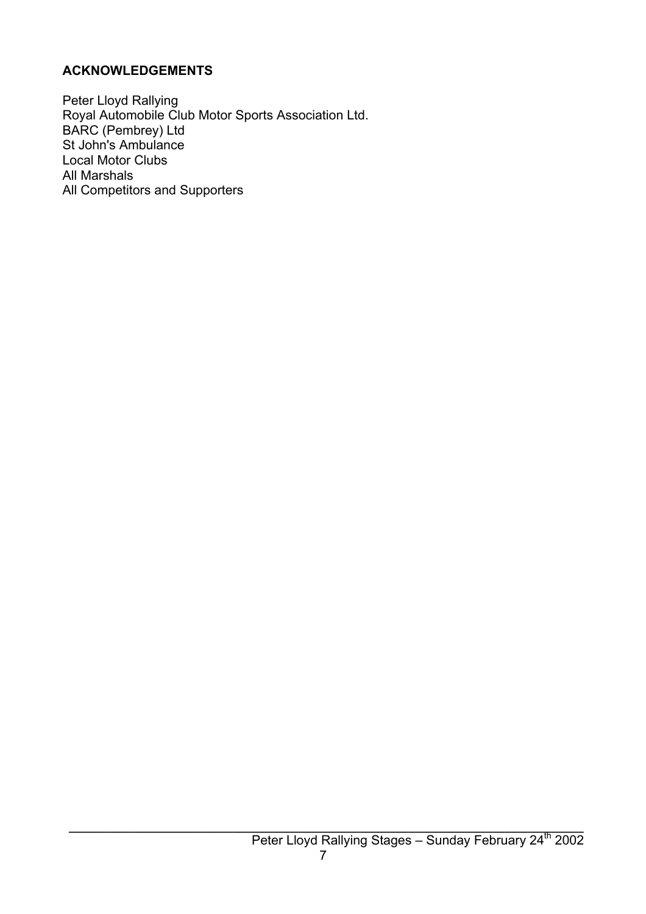#### **ACKNOWLEDGEMENTS**

Peter Lloyd Rallying Royal Automobile Club Motor Sports Association Ltd. BARC (Pembrey) Ltd St John's Ambulance Local Motor Clubs All Marshals All Competitors and Supporters

**\_\_\_\_\_\_\_\_\_\_\_\_\_\_\_\_\_\_\_\_\_\_\_\_\_\_\_\_\_\_\_\_\_\_\_\_\_\_\_\_\_\_\_\_\_\_\_\_\_\_\_\_\_\_\_\_\_\_\_\_\_\_\_\_\_\_\_\_\_\_\_\_\_\_\_\_\_\_\_\_\_\_\_\_\_**